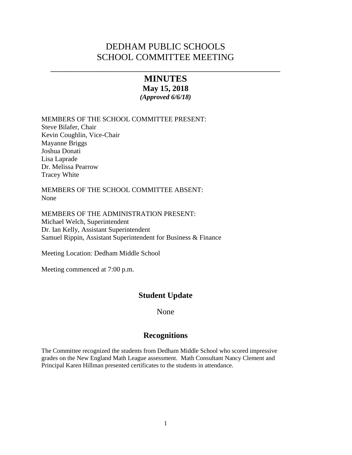# DEDHAM PUBLIC SCHOOLS SCHOOL COMMITTEE MEETING

\_\_\_\_\_\_\_\_\_\_\_\_\_\_\_\_\_\_\_\_\_\_\_\_\_\_\_\_\_\_\_\_\_\_\_\_\_\_\_\_\_\_\_\_\_\_\_\_\_\_

## **MINUTES May 15, 2018** *(Approved 6/6/18)*

MEMBERS OF THE SCHOOL COMMITTEE PRESENT:

Steve Bilafer, Chair Kevin Coughlin, Vice-Chair Mayanne Briggs Joshua Donati Lisa Laprade Dr. Melissa Pearrow Tracey White

MEMBERS OF THE SCHOOL COMMITTEE ABSENT: None

MEMBERS OF THE ADMINISTRATION PRESENT: Michael Welch, Superintendent Dr. Ian Kelly, Assistant Superintendent Samuel Rippin, Assistant Superintendent for Business & Finance

Meeting Location: Dedham Middle School

Meeting commenced at 7:00 p.m.

## **Student Update**

None

## **Recognitions**

The Committee recognized the students from Dedham Middle School who scored impressive grades on the New England Math League assessment. Math Consultant Nancy Clement and Principal Karen Hillman presented certificates to the students in attendance.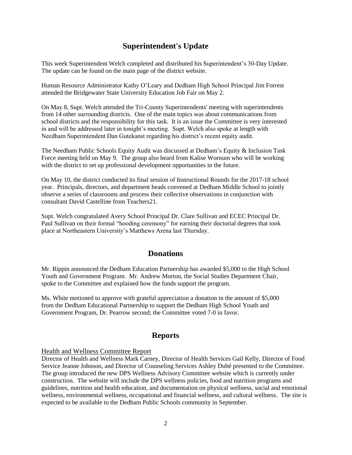## **Superintendent's Update**

This week Superintendent Welch completed and distributed his Superintendent's 30-Day Update. The update can be found on the main page of the district website.

Human Resource Administrator Kathy O'Leary and Dedham High School Principal Jim Forrest attended the Bridgewater State University Education Job Fair on May 2.

On May 8, Supt. Welch attended the Tri-County Superintendents' meeting with superintendents from 14 other surrounding districts. One of the main topics was about communications from school districts and the responsibility for this task. It is an issue the Committee is very interested in and will be addressed later in tonight's meeting. Supt. Welch also spoke at length with Needham Superintendent Dan Gutekanst regarding his district's recent equity audit.

The Needham Public Schools Equity Audit was discussed at Dedham's Equity & Inclusion Task Force meeting held on May 9. The group also heard from Kalise Wornum who will be working with the district to set up professional development opportunities in the future.

On May 10, the district conducted its final session of Instructional Rounds for the 2017-18 school year. Principals, directors, and department heads convened at Dedham Middle School to jointly observe a series of classrooms and process their collective observations in conjunction with consultant David Castelline from Teachers21.

Supt. Welch congratulated Avery School Principal Dr. Clare Sullivan and ECEC Principal Dr. Paul Sullivan on their formal "hooding ceremony" for earning their doctorial degrees that took place at Northeastern University's Matthews Arena last Thursday.

## **Donations**

Mr. Rippin announced the Dedham Education Partnership has awarded \$5,000 to the High School Youth and Government Program. Mr. Andrew Morton, the Social Studies Department Chair, spoke to the Committee and explained how the funds support the program.

Ms. White motioned to approve with grateful appreciation a donation in the amount of \$5,000 from the Dedham Educational Partnership to support the Dedham High School Youth and Government Program, Dr. Pearrow second; the Committee voted 7-0 in favor.

## **Reports**

## Health and Wellness Committee Report

Director of Health and Wellness Mark Carney, Director of Health Services Gail Kelly, Director of Food Service Jeanne Johnson, and Director of Counseling Services Ashley Dubé presented to the Committee. The group introduced the new DPS Wellness Advisory Committee website which is currently under construction. The website will include the DPS wellness policies, food and nutrition programs and guidelines, nutrition and health education, and documentation on physical wellness, social and emotional wellness, environmental wellness, occupational and financial wellness, and cultural wellness. The site is expected to be available to the Dedham Public Schools community in September.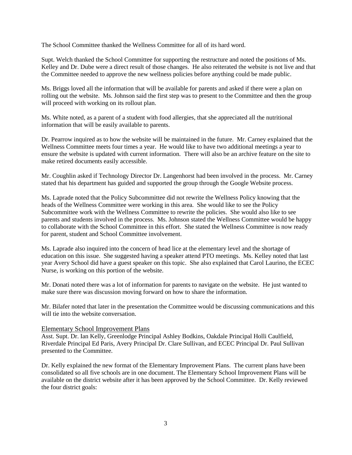The School Committee thanked the Wellness Committee for all of its hard word.

Supt. Welch thanked the School Committee for supporting the restructure and noted the positions of Ms. Kelley and Dr. Dube were a direct result of those changes. He also reiterated the website is not live and that the Committee needed to approve the new wellness policies before anything could be made public.

Ms. Briggs loved all the information that will be available for parents and asked if there were a plan on rolling out the website. Ms. Johnson said the first step was to present to the Committee and then the group will proceed with working on its rollout plan.

Ms. White noted, as a parent of a student with food allergies, that she appreciated all the nutritional information that will be easily available to parents.

Dr. Pearrow inquired as to how the website will be maintained in the future. Mr. Carney explained that the Wellness Committee meets four times a year. He would like to have two additional meetings a year to ensure the website is updated with current information. There will also be an archive feature on the site to make retired documents easily accessible.

Mr. Coughlin asked if Technology Director Dr. Langenhorst had been involved in the process. Mr. Carney stated that his department has guided and supported the group through the Google Website process.

Ms. Laprade noted that the Policy Subcommittee did not rewrite the Wellness Policy knowing that the heads of the Wellness Committee were working in this area. She would like to see the Policy Subcommittee work with the Wellness Committee to rewrite the policies. She would also like to see parents and students involved in the process. Ms. Johnson stated the Wellness Committee would be happy to collaborate with the School Committee in this effort. She stated the Wellness Committee is now ready for parent, student and School Committee involvement.

Ms. Laprade also inquired into the concern of head lice at the elementary level and the shortage of education on this issue. She suggested having a speaker attend PTO meetings. Ms. Kelley noted that last year Avery School did have a guest speaker on this topic. She also explained that Carol Laurino, the ECEC Nurse, is working on this portion of the website.

Mr. Donati noted there was a lot of information for parents to navigate on the website. He just wanted to make sure there was discussion moving forward on how to share the information.

Mr. Bilafer noted that later in the presentation the Committee would be discussing communications and this will tie into the website conversation.

## Elementary School Improvement Plans

Asst. Supt. Dr. Ian Kelly, Greenlodge Principal Ashley Bodkins, Oakdale Principal Holli Caulfield, Riverdale Principal Ed Paris, Avery Principal Dr. Clare Sullivan, and ECEC Principal Dr. Paul Sullivan presented to the Committee.

Dr. Kelly explained the new format of the Elementary Improvement Plans. The current plans have been consolidated so all five schools are in one document. The Elementary School Improvement Plans will be available on the district website after it has been approved by the School Committee. Dr. Kelly reviewed the four district goals: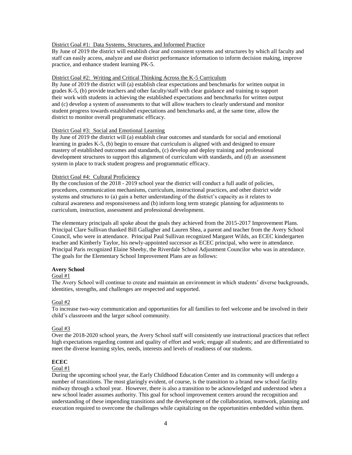#### District Goal #1: Data Systems, Structures, and Informed Practice

By June of 2019 the district will establish clear and consistent systems and structures by which all faculty and staff can easily access, analyze and use district performance information to inform decision making, improve practice, and enhance student learning PK-5.

#### District Goal #2: Writing and Critical Thinking Across the K-5 Curriculum

By June of 2019 the district will (a) establish clear expectations and benchmarks for written output in grades K-5, (b) provide teachers and other faculty/staff with clear guidance and training to support their work with students in achieving the established expectations and benchmarks for written output and (c) develop a system of assessments to that will allow teachers to clearly understand and monitor student progress towards established expectations and benchmarks and, at the same time, allow the district to monitor overall programmatic efficacy.

#### District Goal #3: Social and Emotional Learning

By June of 2019 the district will (a) establish clear outcomes and standards for social and emotional learning in grades K-5, (b) begin to ensure that curriculum is aligned with and designed to ensure mastery of established outcomes and standards, (c) develop and deploy training and professional development structures to support this alignment of curriculum with standards, and (d) an assessment system in place to track student progress and programmatic efficacy.

#### District Goal #4: Cultural Proficiency

By the conclusion of the 2018 - 2019 school year the district will conduct a full audit of policies, procedures, communication mechanisms, curriculum, instructional practices, and other district wide systems and structures to (a) gain a better understanding of the district's capacity as it relates to cultural awareness and responsiveness and (b) inform long term strategic planning for adjustments to curriculum, instruction, assessment and professional development.

The elementary principals all spoke about the goals they achieved from the 2015-2017 Improvement Plans. Principal Clare Sullivan thanked Bill Gallagher and Lauren Shea, a parent and teacher from the Avery School Council, who were in attendance. Principal Paul Sullivan recognized Margaret Wilds, an ECEC kindergarten teacher and Kimberly Taylor, his newly-appointed successor as ECEC principal, who were in attendance. Principal Paris recognized Elaine Sheehy, the Riverdale School Adjustment Councilor who was in attendance. The goals for the Elementary School Improvement Plans are as follows:

#### **Avery School**

#### Goal #1

The Avery School will continue to create and maintain an environment in which students' diverse backgrounds, identities, strengths, and challenges are respected and supported.

#### Goal #2

To increase two-way communication and opportunities for all families to feel welcome and be involved in their child's classroom and the larger school community.

#### Goal #3

Over the 2018-2020 school years, the Avery School staff will consistently use instructional practices that reflect high expectations regarding content and quality of effort and work; engage all students; and are differentiated to meet the diverse learning styles, needs, interests and levels of readiness of our students.

#### **ECEC**

### Goal #1

During the upcoming school year, the Early Childhood Education Center and its community will undergo a number of transitions. The most glaringly evident, of course, is the transition to a brand new school facility midway through a school year. However, there is also a transition to be acknowledged and understood when a new school leader assumes authority. This goal for school improvement centers around the recognition and understanding of these impending transitions and the development of the collaboration, teamwork, planning and execution required to overcome the challenges while capitalizing on the opportunities embedded within them.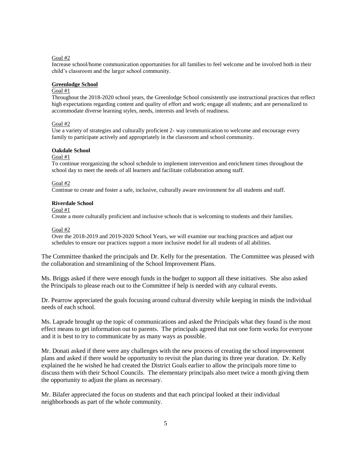#### Goal #2

Increase school/home communication opportunities for all families to feel welcome and be involved both in their child's classroom and the larger school community.

#### **Greenlodge School**

#### Goal #1

Throughout the 2018-2020 school years, the Greenlodge School consistently use instructional practices that reflect high expectations regarding content and quality of effort and work; engage all students; and are personalized to accommodate diverse learning styles, needs, interests and levels of readiness.

#### Goal #2

Use a variety of strategies and culturally proficient 2- way communication to welcome and encourage every family to participate actively and appropriately in the classroom and school community.

#### **Oakdale School**

#### Goal #1

To continue reorganizing the school schedule to implement intervention and enrichment times throughout the school day to meet the needs of all learners and facilitate collaboration among staff.

#### Goal #2

Continue to create and foster a safe, inclusive, culturally aware environment for all students and staff.

#### **Riverdale School**

Goal #1

Create a more culturally proficient and inclusive schools that is welcoming to students and their families.

#### Goal #2

Over the 2018-2019 and 2019-2020 School Years, we will examine our teaching practices and adjust our schedules to ensure our practices support a more inclusive model for all students of all abilities.

The Committee thanked the principals and Dr. Kelly for the presentation. The Committee was pleased with the collaboration and streamlining of the School Improvement Plans.

Ms. Briggs asked if there were enough funds in the budget to support all these initiatives. She also asked the Principals to please reach out to the Committee if help is needed with any cultural events.

Dr. Pearrow appreciated the goals focusing around cultural diversity while keeping in minds the individual needs of each school.

Ms. Laprade brought up the topic of communications and asked the Principals what they found is the most effect means to get information out to parents. The principals agreed that not one form works for everyone and it is best to try to communicate by as many ways as possible.

Mr. Donati asked if there were any challenges with the new process of creating the school improvement plans and asked if there would be opportunity to revisit the plan during its three year duration. Dr. Kelly explained the he wished he had created the District Goals earlier to allow the principals more time to discuss them with their School Councils. The elementary principals also meet twice a month giving them the opportunity to adjust the plans as necessary.

Mr. Bilafer appreciated the focus on students and that each principal looked at their individual neighborhoods as part of the whole community.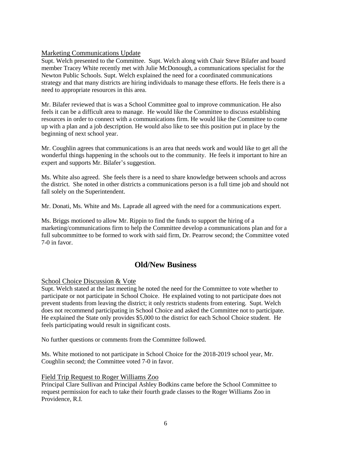## Marketing Communications Update

Supt. Welch presented to the Committee. Supt. Welch along with Chair Steve Bilafer and board member Tracey White recently met with Julie McDonough, a communications specialist for the Newton Public Schools. Supt. Welch explained the need for a coordinated communications strategy and that many districts are hiring individuals to manage these efforts. He feels there is a need to appropriate resources in this area.

Mr. Bilafer reviewed that is was a School Committee goal to improve communication. He also feels it can be a difficult area to manage. He would like the Committee to discuss establishing resources in order to connect with a communications firm. He would like the Committee to come up with a plan and a job description. He would also like to see this position put in place by the beginning of next school year.

Mr. Coughlin agrees that communications is an area that needs work and would like to get all the wonderful things happening in the schools out to the community. He feels it important to hire an expert and supports Mr. Bilafer's suggestion.

Ms. White also agreed. She feels there is a need to share knowledge between schools and across the district. She noted in other districts a communications person is a full time job and should not fall solely on the Superintendent.

Mr. Donati, Ms. White and Ms. Laprade all agreed with the need for a communications expert.

Ms. Briggs motioned to allow Mr. Rippin to find the funds to support the hiring of a marketing/communications firm to help the Committee develop a communications plan and for a full subcommittee to be formed to work with said firm, Dr. Pearrow second; the Committee voted 7-0 in favor.

## **Old/New Business**

## School Choice Discussion & Vote

Supt. Welch stated at the last meeting he noted the need for the Committee to vote whether to participate or not participate in School Choice. He explained voting to not participate does not prevent students from leaving the district; it only restricts students from entering. Supt. Welch does not recommend participating in School Choice and asked the Committee not to participate. He explained the State only provides \$5,000 to the district for each School Choice student. He feels participating would result in significant costs.

No further questions or comments from the Committee followed.

Ms. White motioned to not participate in School Choice for the 2018-2019 school year, Mr. Coughlin second; the Committee voted 7-0 in favor.

## Field Trip Request to Roger Williams Zoo

Principal Clare Sullivan and Principal Ashley Bodkins came before the School Committee to request permission for each to take their fourth grade classes to the Roger Williams Zoo in Providence, R.I.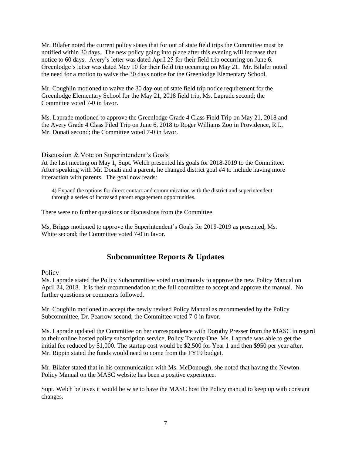Mr. Bilafer noted the current policy states that for out of state field trips the Committee must be notified within 30 days. The new policy going into place after this evening will increase that notice to 60 days. Avery's letter was dated April 25 for their field trip occurring on June 6. Greenlodge's letter was dated May 10 for their field trip occurring on May 21. Mr. Bilafer noted the need for a motion to waive the 30 days notice for the Greenlodge Elementary School.

Mr. Coughlin motioned to waive the 30 day out of state field trip notice requirement for the Greenlodge Elementary School for the May 21, 2018 field trip, Ms. Laprade second; the Committee voted 7-0 in favor.

Ms. Laprade motioned to approve the Greenlodge Grade 4 Class Field Trip on May 21, 2018 and the Avery Grade 4 Class Filed Trip on June 6, 2018 to Roger Williams Zoo in Providence, R.I., Mr. Donati second; the Committee voted 7-0 in favor.

## Discussion & Vote on Superintendent's Goals

At the last meeting on May 1, Supt. Welch presented his goals for 2018-2019 to the Committee. After speaking with Mr. Donati and a parent, he changed district goal #4 to include having more interaction with parents. The goal now reads:

4) Expand the options for direct contact and communication with the district and superintendent through a series of increased parent engagement opportunities.

There were no further questions or discussions from the Committee.

Ms. Briggs motioned to approve the Superintendent's Goals for 2018-2019 as presented; Ms. White second; the Committee voted 7-0 in favor.

## **Subcommittee Reports & Updates**

#### **Policy**

Ms. Laprade stated the Policy Subcommittee voted unanimously to approve the new Policy Manual on April 24, 2018. It is their recommendation to the full committee to accept and approve the manual. No further questions or comments followed.

Mr. Coughlin motioned to accept the newly revised Policy Manual as recommended by the Policy Subcommittee, Dr. Pearrow second; the Committee voted 7-0 in favor.

Ms. Laprade updated the Committee on her correspondence with Dorothy Presser from the MASC in regard to their online hosted policy subscription service, Policy [Twenty-One.](https://www.masc.org/policy-services/online-manuals) Ms. Laprade was able to get the initial fee reduced by \$1,000. The startup cost would be \$2,500 for Year 1 and then \$950 per year after. Mr. Rippin stated the funds would need to come from the FY19 budget.

Mr. Bilafer stated that in his communication with Ms. McDonough, she noted that having the Newton Policy Manual on the MASC website has been a positive experience.

Supt. Welch believes it would be wise to have the MASC host the Policy manual to keep up with constant changes.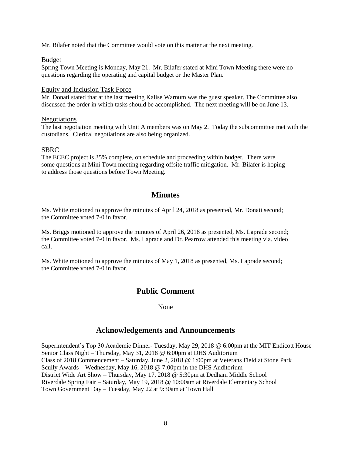Mr. Bilafer noted that the Committee would vote on this matter at the next meeting.

### Budget

Spring Town Meeting is Monday, May 21. Mr. Bilafer stated at Mini Town Meeting there were no questions regarding the operating and capital budget or the Master Plan.

### Equity and Inclusion Task Force

Mr. Donati stated that at the last meeting Kalise Warnum was the guest speaker. The Committee also discussed the order in which tasks should be accomplished. The next meeting will be on June 13.

### Negotiations

The last negotiation meeting with Unit A members was on May 2. Today the subcommittee met with the custodians. Clerical negotiations are also being organized.

## SBRC

The ECEC project is 35% complete, on schedule and proceeding within budget. There were some questions at Mini Town meeting regarding offsite traffic mitigation. Mr. Bilafer is hoping to address those questions before Town Meeting.

## **Minutes**

Ms. White motioned to approve the minutes of April 24, 2018 as presented, Mr. Donati second; the Committee voted 7-0 in favor.

Ms. Briggs motioned to approve the minutes of April 26, 2018 as presented, Ms. Laprade second; the Committee voted 7-0 in favor. Ms. Laprade and Dr. Pearrow attended this meeting via. video call.

Ms. White motioned to approve the minutes of May 1, 2018 as presented, Ms. Laprade second; the Committee voted 7-0 in favor.

## **Public Comment**

#### None

## **Acknowledgements and Announcements**

Superintendent's Top 30 Academic Dinner- Tuesday, May 29, 2018 @ 6:00pm at the MIT Endicott House Senior Class Night – Thursday, May 31, 2018 @ 6:00pm at DHS Auditorium Class of 2018 Commencement – Saturday, June 2, 2018 @ 1:00pm at Veterans Field at Stone Park Scully Awards – Wednesday, May 16, 2018 @ 7:00pm in the DHS Auditorium District Wide Art Show – Thursday, May 17, 2018 @ 5:30pm at Dedham Middle School Riverdale Spring Fair – Saturday, May 19, 2018 @ 10:00am at Riverdale Elementary School Town Government Day – Tuesday, May 22 at 9:30am at Town Hall